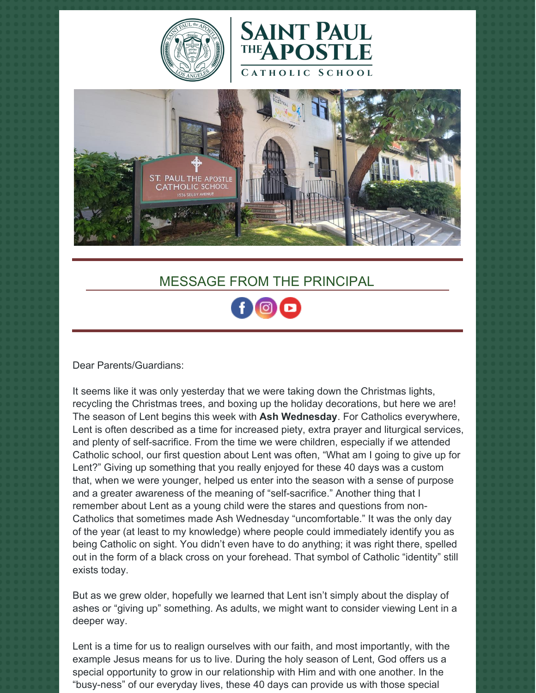





## MESSAGE FROM THE PRINCIPAL

Dear Parents/Guardians:

It seems like it was only yesterday that we were taking down the Christmas lights, recycling the Christmas trees, and boxing up the holiday decorations, but here we are! The season of Lent begins this week with **Ash Wednesday**. For Catholics everywhere, Lent is often described as a time for increased piety, extra prayer and liturgical services, and plenty of self-sacrifice. From the time we were children, especially if we attended Catholic school, our first question about Lent was often, "What am I going to give up for Lent?" Giving up something that you really enjoyed for these 40 days was a custom that, when we were younger, helped us enter into the season with a sense of purpose and a greater awareness of the meaning of "self-sacrifice." Another thing that I remember about Lent as a young child were the stares and questions from non-Catholics that sometimes made Ash Wednesday "uncomfortable." It was the only day of the year (at least to my knowledge) where people could immediately identify you as being Catholic on sight. You didn't even have to do anything; it was right there, spelled out in the form of a black cross on your forehead. That symbol of Catholic "identity" still exists today.

But as we grew older, hopefully we learned that Lent isn't simply about the display of ashes or "giving up" something. As adults, we might want to consider viewing Lent in a deeper way.

Lent is a time for us to realign ourselves with our faith, and most importantly, with the example Jesus means for us to live. During the holy season of Lent, God offers us a special opportunity to grow in our relationship with Him and with one another. In the "busy-ness" of our everyday lives, these 40 days can provide us with those special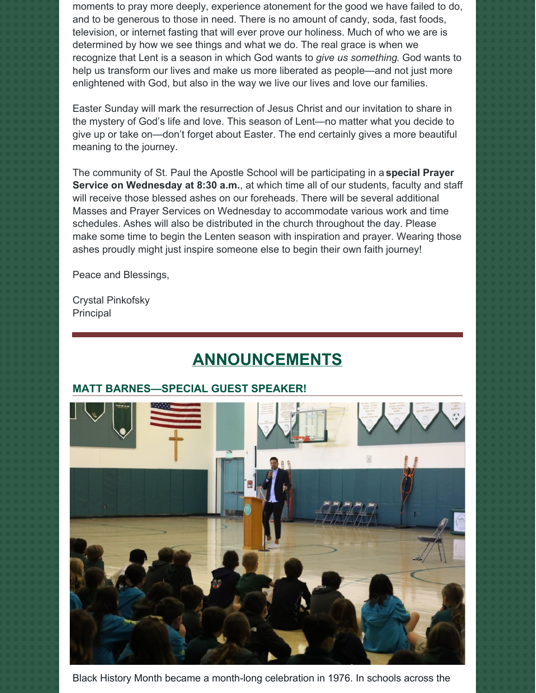moments to pray more deeply, experience atonement for the good we have failed to do, and to be generous to those in need. There is no amount of candy, soda, fast foods, television, or internet fasting that will ever prove our holiness. Much of who we are is determined by how we see things and what we do. The real grace is when we recognize that Lent is a season in which God wants to *give us something*. God wants to help us transform our lives and make us more liberated as people—and not just more enlightened with God, but also in the way we live our lives and love our families.

Easter Sunday will mark the resurrection of Jesus Christ and our invitation to share in the mystery of God's life and love. This season of Lent—no matter what you decide to give up or take on—don't forget about Easter. The end certainly gives a more beautiful meaning to the journey.

The community of St. Paul the Apostle School will be participating in a **special Prayer Service on Wednesday at 8:30 a.m.**, at which time all of our students, faculty and staff will receive those blessed ashes on our foreheads. There will be several additional Masses and Prayer Services on Wednesday to accommodate various work and time schedules. Ashes will also be distributed in the church throughout the day. Please make some time to begin the Lenten season with inspiration and prayer. Wearing those ashes proudly might just inspire someone else to begin their own faith journey!

Peace and Blessings,

Crystal Pinkofsky Principal

# **ANNOUNCEMENTS**

#### **MATT BARNES—SPECIAL GUEST SPEAKER!**



Black History Month became a month-long celebration in 1976. In schools across the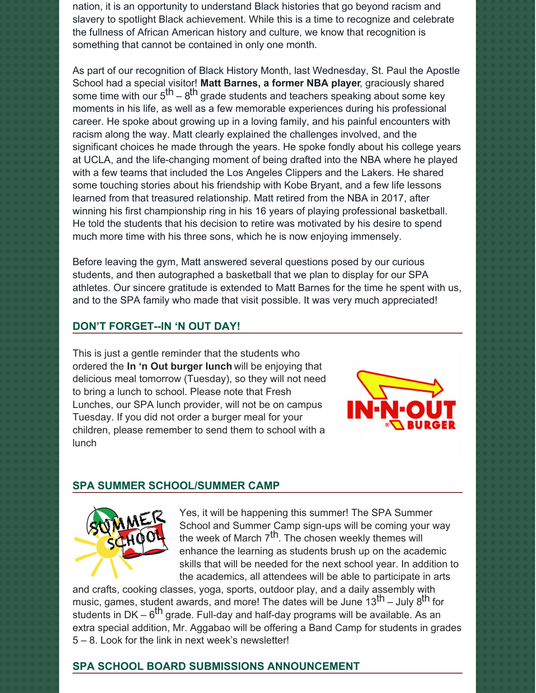nation, it is an opportunity to understand Black histories that go beyond racism and slavery to spotlight Black achievement. While this is a time to recognize and celebrate the fullness of African American history and culture, we know that recognition is something that cannot be contained in only one month.

As part of our recognition of Black History Month, last Wednesday, St. Paul the Apostle School had a special visitor! **Matt Barnes, a former NBA player**, graciously shared some time with our  $5^{\text{th}} - 8^{\text{th}}$  grade students and teachers speaking about some key moments in his life, as well as a few memorable experiences during his professional career. He spoke about growing up in a loving family, and his painful encounters with racism along the way. Matt clearly explained the challenges involved, and the significant choices he made through the years. He spoke fondly about his college years at UCLA, and the life-changing moment of being drafted into the NBA where he played with a few teams that included the Los Angeles Clippers and the Lakers. He shared some touching stories about his friendship with Kobe Bryant, and a few life lessons learned from that treasured relationship. Matt retired from the NBA in 2017, after winning his first championship ring in his 16 years of playing professional basketball. He told the students that his decision to retire was motivated by his desire to spend much more time with his three sons, which he is now enjoying immensely.

Before leaving the gym, Matt answered several questions posed by our curious students, and then autographed a basketball that we plan to display for our SPA athletes. Our sincere gratitude is extended to Matt Barnes for the time he spent with us, and to the SPA family who made that visit possible. It was very much appreciated!

#### **DON'T FORGET--IN 'N OUT DAY!**

This is just a gentle reminder that the students who ordered the **In 'n Out burger lunch** will be enjoying that delicious meal tomorrow (Tuesday), so they will not need to bring a lunch to school. Please note that Fresh Lunches, our SPA lunch provider, will not be on campus Tuesday. If you did not order a burger meal for your children, please remember to send them to school with a lunch



#### **SPA SUMMER SCHOOL/SUMMER CAMP**



Yes, it will be happening this summer! The SPA Summer School and Summer Camp sign-ups will be coming your way the week of March 7<sup>th</sup>. The chosen weekly themes will enhance the learning as students brush up on the academic skills that will be needed for the next school year. In addition to the academics, all attendees will be able to participate in arts

and crafts, cooking classes, yoga, sports, outdoor play, and a daily assembly with music, games, student awards, and more! The dates will be June 13<sup>th</sup> – July 8<sup>th</sup> for students in DK – 6<sup>th</sup> grade. Full-day and half-day programs will be available. As an extra special addition, Mr. Aggabao will be offering a Band Camp for students in grades 5 – 8. Look for the link in next week's newsletter!

#### **SPA SCHOOL BOARD SUBMISSIONS ANNOUNCEMENT**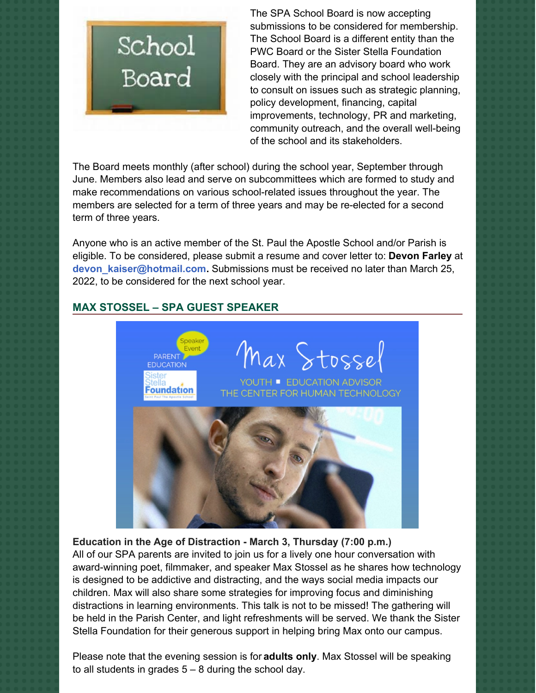

The SPA School Board is now accepting submissions to be considered for membership. The School Board is a different entity than the PWC Board or the Sister Stella Foundation Board. They are an advisory board who work closely with the principal and school leadership to consult on issues such as strategic planning, policy development, financing, capital improvements, technology, PR and marketing, community outreach, and the overall well-being of the school and its stakeholders.

The Board meets monthly (after school) during the school year, September through June. Members also lead and serve on subcommittees which are formed to study and make recommendations on various school-related issues throughout the year. The members are selected for a term of three years and may be re-elected for a second term of three years.

Anyone who is an active member of the St. Paul the Apostle School and/or Parish is eligible. To be considered, please submit a resume and cover letter to: **Devon Farley** at **[devon\\_kaiser@hotmail.com](mailto:devon_kaiser@hotmail.com).** Submissions must be received no later than March 25, 2022, to be considered for the next school year.

### **MAX STOSSEL – SPA GUEST SPEAKER**



**Education in the Age of Distraction - March 3, Thursday (7:00 p.m.)**

All of our SPA parents are invited to join us for a lively one hour conversation with award-winning poet, filmmaker, and speaker Max Stossel as he shares how technology is designed to be addictive and distracting, and the ways social media impacts our children. Max will also share some strategies for improving focus and diminishing distractions in learning environments. This talk is not to be missed! The gathering will be held in the Parish Center, and light refreshments will be served. We thank the Sister Stella Foundation for their generous support in helping bring Max onto our campus.

Please note that the evening session is for **adults only**. Max Stossel will be speaking to all students in grades  $5 - 8$  during the school day.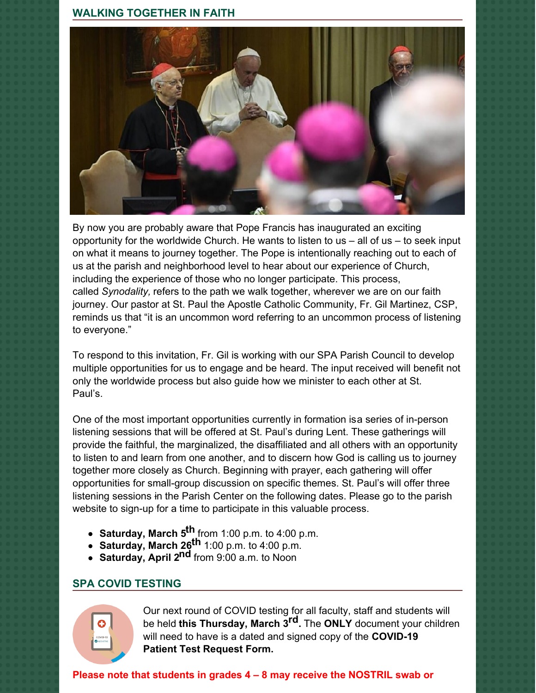#### **WALKING TOGETHER IN FAITH**



By now you are probably aware that Pope Francis has inaugurated an exciting opportunity for the worldwide Church. He wants to listen to us  $-$  all of us  $-$  to seek input on what it means to journey together. The Pope is intentionally reaching out to each of us at the parish and neighborhood level to hear about our experience of Church, including the experience of those who no longer participate. This process, called *Synodality,* refers to the path we walk together, wherever we are on our faith journey. Our pastor at St. Paul the Apostle Catholic Community, Fr. Gil Martinez, CSP, reminds us that "it is an uncommon word referring to an uncommon process of listening to everyone."

To respond to this invitation, Fr. Gil is working with our SPA Parish Council to develop multiple opportunities for us to engage and be heard. The input received will benefit not only the worldwide process but also guide how we minister to each other at St. Paul's.

One of the most important opportunities currently in formation isa series of in-person listening sessions that will be offered at St. Paul's during Lent. These gatherings will provide the faithful, the marginalized, the disaffiliated and all others with an opportunity to listen to and learn from one another, and to discern how God is calling us to journey together more closely as Church. Beginning with prayer, each gathering will offer opportunities for small-group discussion on specific themes. St. Paul's will offer three listening sessions in the Parish Center on the following dates. Please go to the parish website to sign-up for a time to participate in this valuable process.

- **Saturday, March 5 th** from 1:00 p.m. to 4:00 p.m.
- **Saturday, March 26 th** 1:00 p.m. to 4:00 p.m.
- **Saturday, April 2 nd** from 9:00 a.m. to Noon

#### **SPA COVID TESTING**



Our next round of COVID testing for all faculty, staff and students will be held **this Thursday, March 3 rd.** The **ONLY** document your children will need to have is a dated and signed copy of the **COVID-19 Patient Test Request Form.**